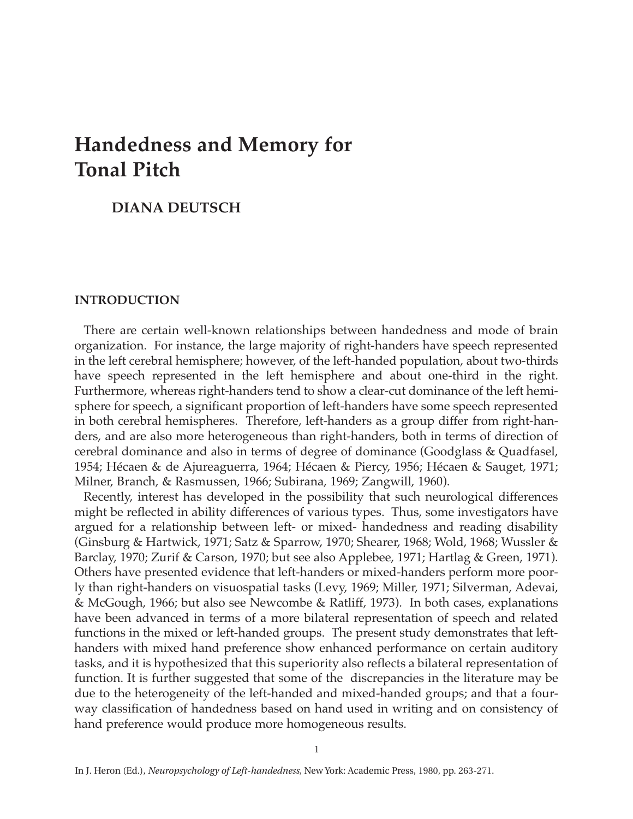# **Handedness and Memory for Tonal Pitch**

# **DIANA DEUTSCH**

### **INTRODUCTION**

There are certain well-known relationships between handedness and mode of brain organization. For instance, the large majority of right-handers have speech represented in the left cerebral hemisphere; however, of the left-handed population, about two-thirds have speech represented in the left hemisphere and about one-third in the right. Furthermore, whereas right-handers tend to show a clear-cut dominance of the left hemisphere for speech, a significant proportion of left-handers have some speech represented in both cerebral hemispheres. Therefore, left-handers as a group differ from right-handers, and are also more heterogeneous than right-handers, both in terms of direction of cerebral dominance and also in terms of degree of dominance (Goodglass & Quadfasel, 1954; Hécaen & de Ajureaguerra, 1964; Hécaen & Piercy, 1956; Hécaen & Sauget, 1971; Milner, Branch, & Rasmussen, 1966; Subirana, 1969; Zangwill, 1960).

Recently, interest has developed in the possibility that such neurological differences might be reflected in ability differences of various types. Thus, some investigators have argued for a relationship between left- or mixed- handedness and reading disability (Ginsburg & Hartwick, 1971; Satz & Sparrow, 1970; Shearer, 1968; Wold, 1968; Wussler & Barclay, 1970; Zurif & Carson, 1970; but see also Applebee, 1971; Hartlag & Green, 1971). Others have presented evidence that left-handers or mixed-handers perform more poorly than right-handers on visuospatial tasks (Levy, 1969; Miller, 1971; Silverman, Adevai, & McGough, 1966; but also see Newcombe & Ratliff, 1973). In both cases, explanations have been advanced in terms of a more bilateral representation of speech and related functions in the mixed or left-handed groups. The present study demonstrates that lefthanders with mixed hand preference show enhanced performance on certain auditory tasks, and it is hypothesized that this superiority also reflects a bilateral representation of function. It is further suggested that some of the discrepancies in the literature may be due to the heterogeneity of the left-handed and mixed-handed groups; and that a fourway classification of handedness based on hand used in writing and on consistency of hand preference would produce more homogeneous results.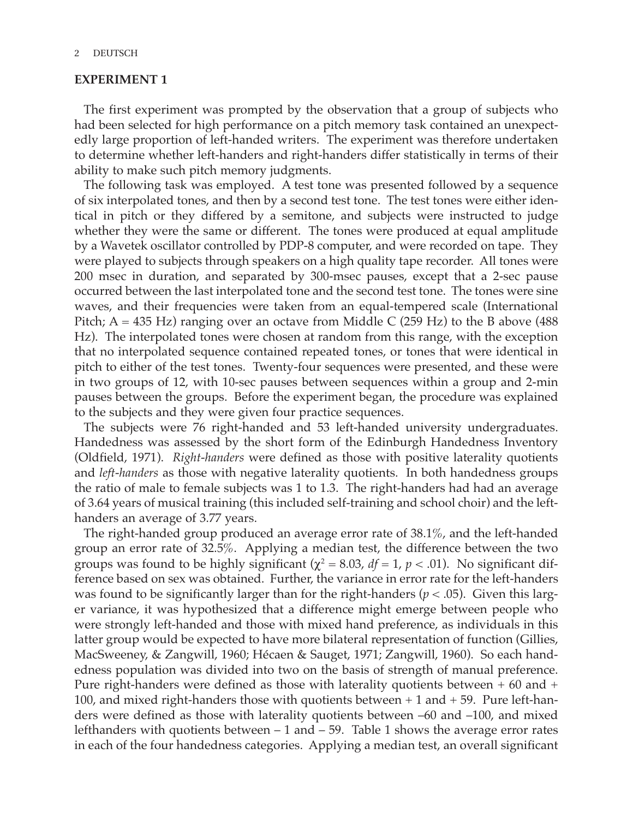# **EXPERIMENT 1**

The first experiment was prompted by the observation that a group of subjects who had been selected for high performance on a pitch memory task contained an unexpectedly large proportion of left-handed writers. The experiment was therefore undertaken to determine whether left-handers and right-handers differ statistically in terms of their ability to make such pitch memory judgments.

The following task was employed. A test tone was presented followed by a sequence of six interpolated tones, and then by a second test tone. The test tones were either identical in pitch or they differed by a semitone, and subjects were instructed to judge whether they were the same or different. The tones were produced at equal amplitude by a Wavetek oscillator controlled by PDP-8 computer, and were recorded on tape. They were played to subjects through speakers on a high quality tape recorder. All tones were 200 msec in duration, and separated by 300-msec pauses, except that a 2-sec pause occurred between the last interpolated tone and the second test tone. The tones were sine waves, and their frequencies were taken from an equal-tempered scale (International Pitch;  $A = 435$  Hz) ranging over an octave from Middle C (259 Hz) to the B above (488 Hz). The interpolated tones were chosen at random from this range, with the exception that no interpolated sequence contained repeated tones, or tones that were identical in pitch to either of the test tones. Twenty-four sequences were presented, and these were in two groups of 12, with 10-sec pauses between sequences within a group and 2-min pauses between the groups. Before the experiment began, the procedure was explained to the subjects and they were given four practice sequences.

The subjects were 76 right-handed and 53 left-handed university undergraduates. Handedness was assessed by the short form of the Edinburgh Handedness Inventory (Oldfield, 1971). *Right-handers* were defined as those with positive laterality quotients and *left-handers* as those with negative laterality quotients. In both handedness groups the ratio of male to female subjects was 1 to 1.3. The right-handers had had an average of 3.64 years of musical training (this included self-training and school choir) and the lefthanders an average of 3.77 years.

The right-handed group produced an average error rate of 38.1%, and the left-handed group an error rate of 32.5%. Applying a median test, the difference between the two groups was found to be highly significant ( $\chi^2$  = 8.03, *df* = 1, *p* < .01). No significant difference based on sex was obtained. Further, the variance in error rate for the left-handers was found to be significantly larger than for the right-handers ( $p < .05$ ). Given this larger variance, it was hypothesized that a difference might emerge between people who were strongly left-handed and those with mixed hand preference, as individuals in this latter group would be expected to have more bilateral representation of function (Gillies, MacSweeney, & Zangwill, 1960; Hécaen & Sauget, 1971; Zangwill, 1960). So each handedness population was divided into two on the basis of strength of manual preference. Pure right-handers were defined as those with laterality quotients between + 60 and + 100, and mixed right-handers those with quotients between + 1 and + 59. Pure left-handers were defined as those with laterality quotients between –60 and –100, and mixed lefthanders with quotients between – 1 and – 59. Table 1 shows the average error rates in each of the four handedness categories. Applying a median test, an overall significant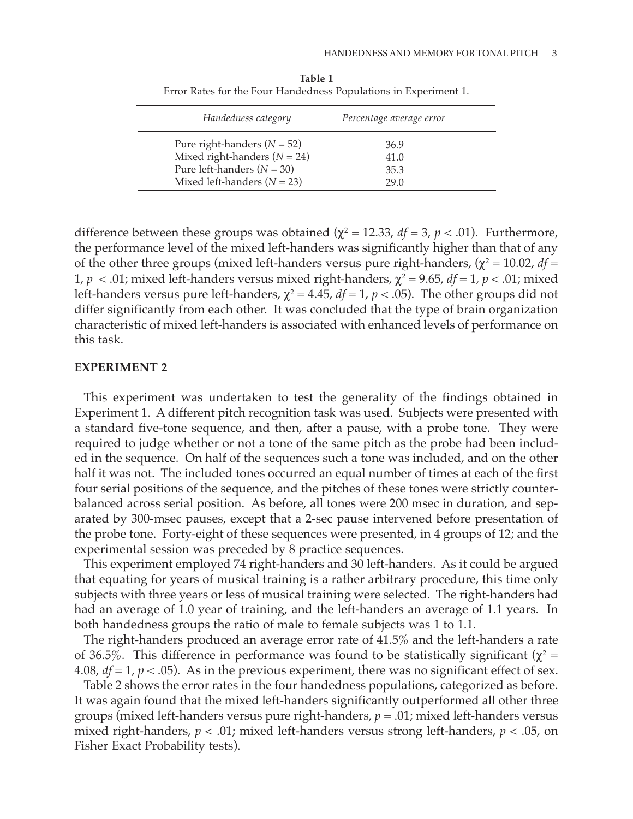| Handedness category             | Percentage average error |
|---------------------------------|--------------------------|
| Pure right-handers $(N = 52)$   | 36.9                     |
| Mixed right-handers $(N = 24)$  | 41.0                     |
| Pure left-handers $(N = 30)$    | 35.3                     |
| Mixed left-handers ( $N = 23$ ) | 29 Q                     |

**Table 1** Error Rates for the Four Handedness Populations in Experiment 1.

difference between these groups was obtained ( $\chi^2$  = 12.33, *df* = 3, *p* < .01). Furthermore, the performance level of the mixed left-handers was significantly higher than that of any of the other three groups (mixed left-handers versus pure right-handers,  $(\chi^2 = 10.02, df =$ 1,  $p < 0.01$ ; mixed left-handers versus mixed right-handers,  $\chi^2 = 9.65$ ,  $df = 1$ ,  $p < 0.01$ ; mixed left-handers versus pure left-handers,  $\chi^2 = 4.45$ ,  $df = 1$ ,  $p < .05$ ). The other groups did not differ significantly from each other. It was concluded that the type of brain organization characteristic of mixed left-handers is associated with enhanced levels of performance on this task.

#### **EXPERIMENT 2**

This experiment was undertaken to test the generality of the findings obtained in Experiment 1. A different pitch recognition task was used. Subjects were presented with a standard five-tone sequence, and then, after a pause, with a probe tone. They were required to judge whether or not a tone of the same pitch as the probe had been included in the sequence. On half of the sequences such a tone was included, and on the other half it was not. The included tones occurred an equal number of times at each of the first four serial positions of the sequence, and the pitches of these tones were strictly counterbalanced across serial position. As before, all tones were 200 msec in duration, and separated by 300-msec pauses, except that a 2-sec pause intervened before presentation of the probe tone. Forty-eight of these sequences were presented, in 4 groups of 12; and the experimental session was preceded by 8 practice sequences.

This experiment employed 74 right-handers and 30 left-handers. As it could be argued that equating for years of musical training is a rather arbitrary procedure, this time only subjects with three years or less of musical training were selected. The right-handers had had an average of 1.0 year of training, and the left-handers an average of 1.1 years. In both handedness groups the ratio of male to female subjects was 1 to 1.1.

The right-handers produced an average error rate of 41.5% and the left-handers a rate of 36.5%. This difference in performance was found to be statistically significant ( $χ² =$ 4.08,  $df = 1$ ,  $p < .05$ ). As in the previous experiment, there was no significant effect of sex.

Table 2 shows the error rates in the four handedness populations, categorized as before. It was again found that the mixed left-handers significantly outperformed all other three groups (mixed left-handers versus pure right-handers, *p* = .01; mixed left-handers versus mixed right-handers, *p* < .01; mixed left-handers versus strong left-handers, *p* < .05, on Fisher Exact Probability tests).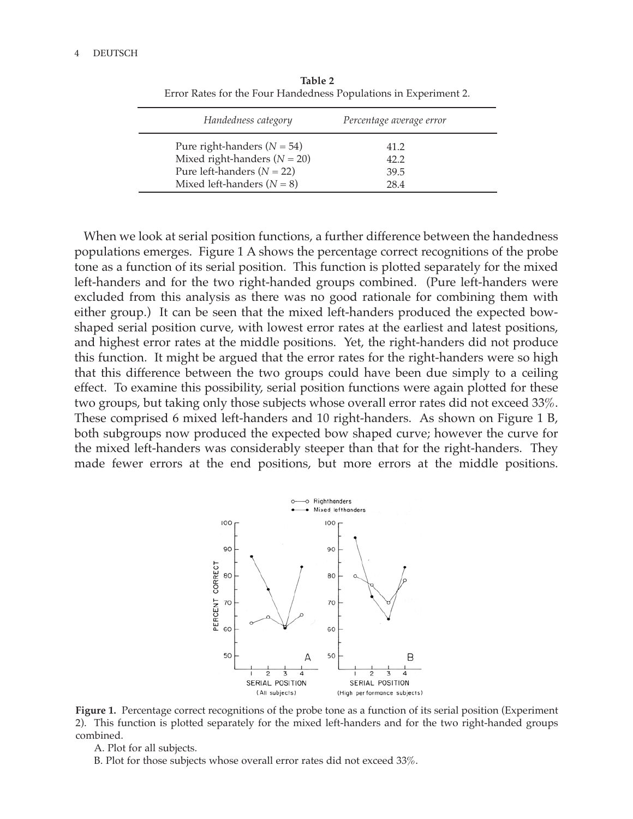| Handedness category            | Percentage average error |
|--------------------------------|--------------------------|
| Pure right-handers $(N = 54)$  | 41.2                     |
| Mixed right-handers $(N = 20)$ | 42.2                     |
| Pure left-handers $(N = 22)$   | 39.5                     |
| Mixed left-handers $(N = 8)$   | 28.4                     |

**Table 2** Error Rates for the Four Handedness Populations in Experiment 2.

When we look at serial position functions, a further difference between the handedness populations emerges. Figure 1 A shows the percentage correct recognitions of the probe tone as a function of its serial position. This function is plotted separately for the mixed left-handers and for the two right-handed groups combined. (Pure left-handers were excluded from this analysis as there was no good rationale for combining them with either group.) It can be seen that the mixed left-handers produced the expected bowshaped serial position curve, with lowest error rates at the earliest and latest positions, and highest error rates at the middle positions. Yet, the right-handers did not produce this function. It might be argued that the error rates for the right-handers were so high that this difference between the two groups could have been due simply to a ceiling effect. To examine this possibility, serial position functions were again plotted for these two groups, but taking only those subjects whose overall error rates did not exceed 33%. These comprised 6 mixed left-handers and 10 right-handers. As shown on Figure 1 B, both subgroups now produced the expected bow shaped curve; however the curve for the mixed left-handers was considerably steeper than that for the right-handers. They made fewer errors at the end positions, but more errors at the middle positions.



**Figure 1.** Percentage correct recognitions of the probe tone as a function of its serial position (Experiment 2). This function is plotted separately for the mixed left-handers and for the two right-handed groups combined.

A. Plot for all subjects.

B. Plot for those subjects whose overall error rates did not exceed 33%.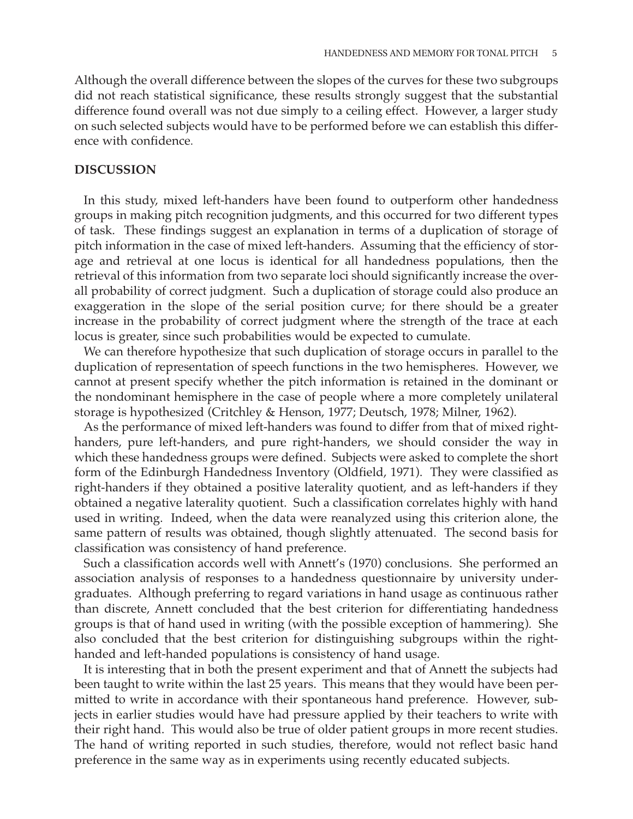Although the overall difference between the slopes of the curves for these two subgroups did not reach statistical significance, these results strongly suggest that the substantial difference found overall was not due simply to a ceiling effect. However, a larger study on such selected subjects would have to be performed before we can establish this difference with confidence.

# **DISCUSSION**

In this study, mixed left-handers have been found to outperform other handedness groups in making pitch recognition judgments, and this occurred for two different types of task. These findings suggest an explanation in terms of a duplication of storage of pitch information in the case of mixed left-handers. Assuming that the efficiency of storage and retrieval at one locus is identical for all handedness populations, then the retrieval of this information from two separate loci should significantly increase the overall probability of correct judgment. Such a duplication of storage could also produce an exaggeration in the slope of the serial position curve; for there should be a greater increase in the probability of correct judgment where the strength of the trace at each locus is greater, since such probabilities would be expected to cumulate.

We can therefore hypothesize that such duplication of storage occurs in parallel to the duplication of representation of speech functions in the two hemispheres. However, we cannot at present specify whether the pitch information is retained in the dominant or the nondominant hemisphere in the case of people where a more completely unilateral storage is hypothesized (Critchley & Henson, 1977; Deutsch, 1978; Milner, 1962).

As the performance of mixed left-handers was found to differ from that of mixed righthanders, pure left-handers, and pure right-handers, we should consider the way in which these handedness groups were defined. Subjects were asked to complete the short form of the Edinburgh Handedness Inventory (Oldfield, 1971). They were classified as right-handers if they obtained a positive laterality quotient, and as left-handers if they obtained a negative laterality quotient. Such a classification correlates highly with hand used in writing. Indeed, when the data were reanalyzed using this criterion alone, the same pattern of results was obtained, though slightly attenuated. The second basis for classification was consistency of hand preference.

Such a classification accords well with Annett's (1970) conclusions. She performed an association analysis of responses to a handedness questionnaire by university undergraduates. Although preferring to regard variations in hand usage as continuous rather than discrete, Annett concluded that the best criterion for differentiating handedness groups is that of hand used in writing (with the possible exception of hammering). She also concluded that the best criterion for distinguishing subgroups within the righthanded and left-handed populations is consistency of hand usage.

It is interesting that in both the present experiment and that of Annett the subjects had been taught to write within the last 25 years. This means that they would have been permitted to write in accordance with their spontaneous hand preference. However, subjects in earlier studies would have had pressure applied by their teachers to write with their right hand. This would also be true of older patient groups in more recent studies. The hand of writing reported in such studies, therefore, would not reflect basic hand preference in the same way as in experiments using recently educated subjects.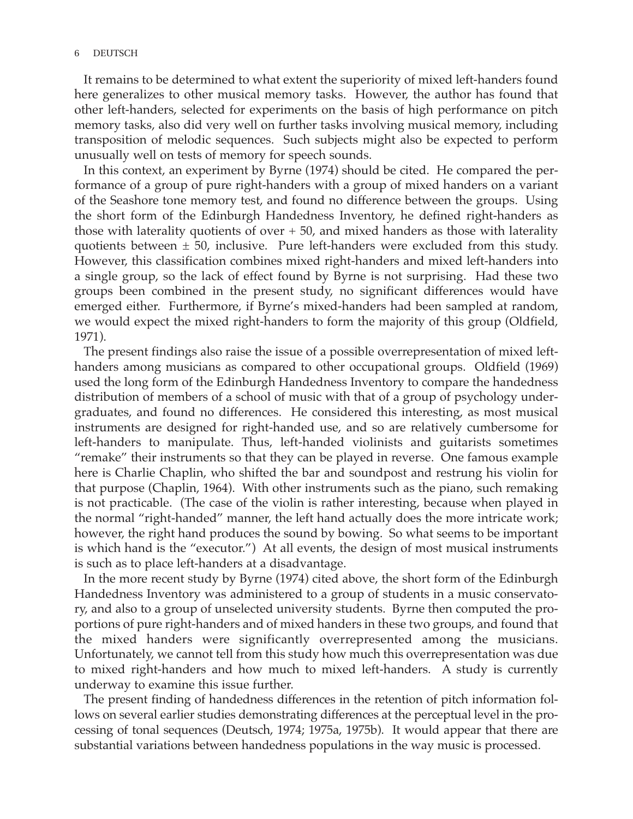#### 6 DEUTSCH

It remains to be determined to what extent the superiority of mixed left-handers found here generalizes to other musical memory tasks. However, the author has found that other left-handers, selected for experiments on the basis of high performance on pitch memory tasks, also did very well on further tasks involving musical memory, including transposition of melodic sequences. Such subjects might also be expected to perform unusually well on tests of memory for speech sounds.

In this context, an experiment by Byrne (1974) should be cited. He compared the performance of a group of pure right-handers with a group of mixed handers on a variant of the Seashore tone memory test, and found no difference between the groups. Using the short form of the Edinburgh Handedness Inventory, he defined right-handers as those with laterality quotients of over  $+50$ , and mixed handers as those with laterality quotients between  $\pm$  50, inclusive. Pure left-handers were excluded from this study. However, this classification combines mixed right-handers and mixed left-handers into a single group, so the lack of effect found by Byrne is not surprising. Had these two groups been combined in the present study, no significant differences would have emerged either. Furthermore, if Byrne's mixed-handers had been sampled at random, we would expect the mixed right-handers to form the majority of this group (Oldfield, 1971).

The present findings also raise the issue of a possible overrepresentation of mixed lefthanders among musicians as compared to other occupational groups. Oldfield (1969) used the long form of the Edinburgh Handedness Inventory to compare the handedness distribution of members of a school of music with that of a group of psychology undergraduates, and found no differences. He considered this interesting, as most musical instruments are designed for right-handed use, and so are relatively cumbersome for left-handers to manipulate. Thus, left-handed violinists and guitarists sometimes "remake" their instruments so that they can be played in reverse. One famous example here is Charlie Chaplin, who shifted the bar and soundpost and restrung his violin for that purpose (Chaplin, 1964). With other instruments such as the piano, such remaking is not practicable. (The case of the violin is rather interesting, because when played in the normal "right-handed" manner, the left hand actually does the more intricate work; however, the right hand produces the sound by bowing. So what seems to be important is which hand is the "executor.") At all events, the design of most musical instruments is such as to place left-handers at a disadvantage.

In the more recent study by Byrne (1974) cited above, the short form of the Edinburgh Handedness Inventory was administered to a group of students in a music conservatory, and also to a group of unselected university students. Byrne then computed the proportions of pure right-handers and of mixed handers in these two groups, and found that the mixed handers were significantly overrepresented among the musicians. Unfortunately, we cannot tell from this study how much this overrepresentation was due to mixed right-handers and how much to mixed left-handers. A study is currently underway to examine this issue further.

The present finding of handedness differences in the retention of pitch information follows on several earlier studies demonstrating differences at the perceptual level in the processing of tonal sequences (Deutsch, 1974; 1975a, 1975b). It would appear that there are substantial variations between handedness populations in the way music is processed.